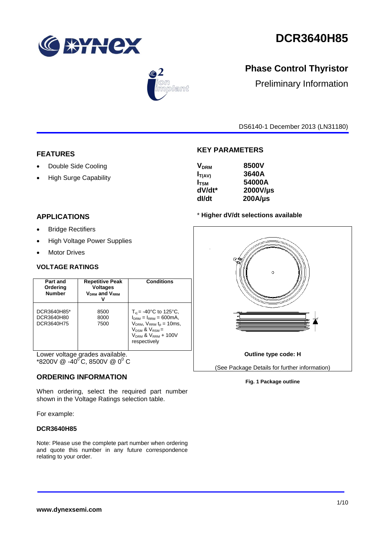

# **DCR3640H85**



## **Phase Control Thyristor**

Preliminary Information

DS6140-1 December 2013 (LN31180)

#### **FEATURES**

- Double Side Cooling
- High Surge Capability

## **APPLICATIONS**

- **•** Bridge Rectifiers
- High Voltage Power Supplies
- Motor Drives

#### **VOLTAGE RATINGS**

| Part and<br>Ordering<br><b>Number</b>   | <b>Repetitive Peak</b><br><b>Voltages</b><br><b>VDRM</b> and VRRM | <b>Conditions</b>                                                                                                                                                             |
|-----------------------------------------|-------------------------------------------------------------------|-------------------------------------------------------------------------------------------------------------------------------------------------------------------------------|
| DCR3640H85*<br>DCR3640H80<br>DCR3640H75 | 8500<br>8000<br>7500                                              | $T_{\rm vi}$ = -40°C to 125°C,<br>$IDRM = IRRM = 600mA.$<br>$VDRM$ , $VRRM$ t <sub>p</sub> = 10ms,<br>$V_{DSM}$ & $V_{RSM}$ =<br>$V_{DRM}$ & $V_{RRM}$ + 100V<br>respectively |

Lower voltage grades available.  $*8200V \ @ \ -40^{\circ}C, 8500V \ @ \ 0^{\circ}C$ 

#### **ORDERING INFORMATION**

When ordering, select the required part number shown in the Voltage Ratings selection table.

For example:

#### **DCR3640H85**

Note: Please use the complete part number when ordering and quote this number in any future correspondence relating to your order.

#### **KEY PARAMETERS**

| 8500V        |
|--------------|
| 3640A        |
| 54000A       |
| 2000V/µs     |
| $200A/\mu s$ |
|              |

#### \* **Higher dV/dt selections available**



#### **Fig. 1 Package outline**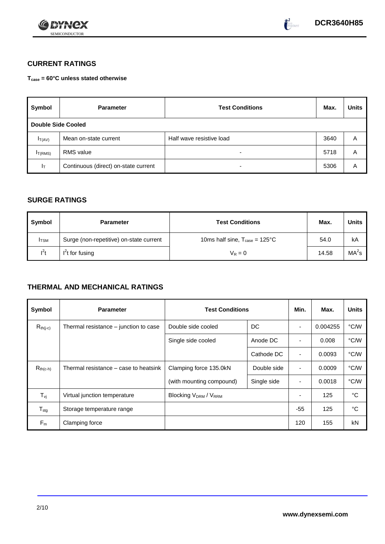



## **CURRENT RATINGS**

**Tcase = 60°C unless stated otherwise**

| Symbol<br><b>Parameter</b> |                                      | <b>Test Conditions</b>   | Max. | <b>Units</b> |  |
|----------------------------|--------------------------------------|--------------------------|------|--------------|--|
|                            | <b>Double Side Cooled</b>            |                          |      |              |  |
| $I_{T(AV)}$                | Mean on-state current                | Half wave resistive load | 3640 | Α            |  |
| I <sub>T(RMS)</sub>        | <b>RMS</b> value                     | -                        | 5718 | Α            |  |
| $ _{\top}$                 | Continuous (direct) on-state current | -                        | 5306 | Α            |  |

#### **SURGE RATINGS**

| Symbol       | <b>Parameter</b>                        | <b>Test Conditions</b>                           | Max.  | <b>Units</b>      |
|--------------|-----------------------------------------|--------------------------------------------------|-------|-------------------|
| <b>I</b> TSM | Surge (non-repetitive) on-state current | 10ms half sine, $T_{\text{case}} = 125^{\circ}C$ | 54.0  | kA                |
| $I^2t$       | $I2t$ for fusing                        | $V_R = 0$                                        | 14.58 | MA <sup>2</sup> s |

## **THERMAL AND MECHANICAL RATINGS**

| Symbol                         | <b>Parameter</b>                      | <b>Test Conditions</b>      |             | Min.                     | Max.     | <b>Units</b> |
|--------------------------------|---------------------------------------|-----------------------------|-------------|--------------------------|----------|--------------|
| $R_{th(j-c)}$                  | Thermal resistance – junction to case | Double side cooled          | DC          |                          | 0.004255 | °C/W         |
|                                |                                       | Single side cooled          | Anode DC    | ٠                        | 0.008    | °C/W         |
|                                |                                       |                             | Cathode DC  | $\blacksquare$           | 0.0093   | °C/W         |
| $R_{th(c-h)}$                  | Thermal resistance – case to heatsink | Clamping force 135.0kN      | Double side | ٠                        | 0.0009   | °C/W         |
|                                |                                       | (with mounting compound)    | Single side | $\overline{\phantom{0}}$ | 0.0018   | °C/W         |
| $T_{\rm\scriptscriptstyle VI}$ | Virtual junction temperature          | <b>Blocking VDRM / VRRM</b> |             |                          | 125      | °C           |
| ${\mathsf T}_{\text{stg}}$     | Storage temperature range             |                             |             | $-55$                    | 125      | °C           |
| $F_m$                          | Clamping force                        |                             |             | 120                      | 155      | kN           |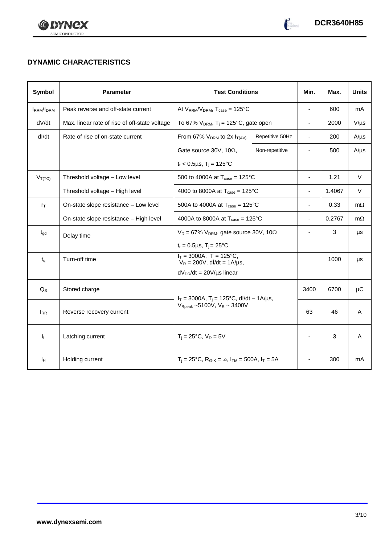



## **DYNAMIC CHARACTERISTICS**

| Symbol            | <b>Parameter</b>                              | <b>Test Conditions</b>                                                  |                 | Min.                     | Max.   | <b>Units</b> |
|-------------------|-----------------------------------------------|-------------------------------------------------------------------------|-----------------|--------------------------|--------|--------------|
| <b>IRRM</b> /IDRM | Peak reverse and off-state current            | At $V_{RRM}/V_{DRM}$ , $T_{case} = 125^{\circ}C$                        |                 | ÷,                       | 600    | mA           |
| dV/dt             | Max. linear rate of rise of off-state voltage | To 67% $V_{DRM}$ , T <sub>j</sub> = 125°C, gate open                    |                 | $\overline{\phantom{0}}$ | 2000   | $V/\mu s$    |
| dl/dt             | Rate of rise of on-state current              | From 67% $V_{DRM}$ to 2x $I_{T(AV)}$                                    | Repetitive 50Hz | $\overline{\phantom{a}}$ | 200    | $A/\mu s$    |
|                   |                                               | Gate source 30V, 10 $\Omega$ ,                                          | Non-repetitive  |                          | 500    | $A/\mu s$    |
|                   |                                               | $t_r$ < 0.5µs, T <sub>i</sub> = 125°C                                   |                 |                          |        |              |
| $V_{T(TO)}$       | Threshold voltage - Low level                 | 500 to 4000A at $T_{\text{case}} = 125^{\circ}C$                        |                 | $\blacksquare$           | 1.21   | $\vee$       |
|                   | Threshold voltage - High level                | 4000 to 8000A at $T_{\text{case}} = 125^{\circ}C$                       |                 | ä,                       | 1.4067 | $\vee$       |
| $r_{\text{T}}$    | On-state slope resistance - Low level         | 500A to 4000A at $T_{\text{case}} = 125^{\circ}C$                       |                 | ä,                       | 0.33   | $m\Omega$    |
|                   | On-state slope resistance - High level        | 4000A to 8000A at $T_{\text{case}} = 125^{\circ}$ C                     |                 | $\overline{\phantom{0}}$ | 0.2767 | $m\Omega$    |
| $t_{gd}$          | Delay time                                    | $V_D = 67\%$ V <sub>DRM</sub> , gate source 30V, 10 $\Omega$            |                 |                          | 3      | μs           |
|                   |                                               | $t_r = 0.5 \mu s$ , $T_i = 25^{\circ}C$                                 |                 |                          |        |              |
| $t_{q}$           | Turn-off time                                 | $I_T = 3000A$ , $T_i = 125^{\circ}C$ ,<br>$V_R = 200V$ , dl/dt = 1A/µs, |                 |                          | 1000   | μs           |
|                   |                                               | $dV_{DR}/dt = 20V/\mu s$ linear                                         |                 |                          |        |              |
| $Q_{S}$           | Stored charge                                 | $I_T = 3000A$ , $T_i = 125^{\circ}C$ , dl/dt - 1A/µs,                   |                 | 3400                     | 6700   | μC           |
| $I_{RR}$          | Reverse recovery current                      | $V_{\text{Rpeak}}$ ~5100V, $V_R$ ~ 3400V                                |                 | 63                       | 46     | A            |
| $I_L$             | Latching current                              | $T_i = 25^{\circ}C$ , $V_D = 5V$                                        |                 | ä,                       | 3      | A            |
| Īн                | Holding current                               | $T_i = 25^{\circ}C$ , $R_{G-K} = \infty$ , $I_{TM} = 500A$ , $I_T = 5A$ |                 |                          | 300    | mA           |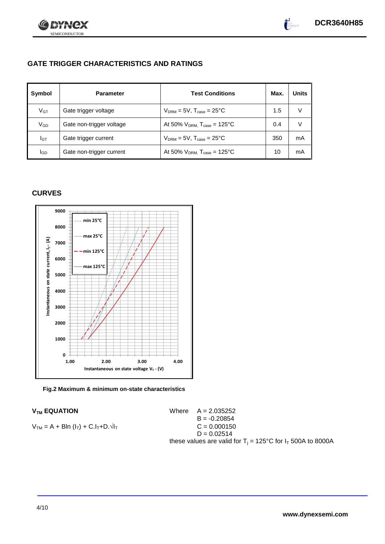

## **GATE TRIGGER CHARACTERISTICS AND RATINGS**

| Symbol   | <b>Parameter</b>         | <b>Test Conditions</b>                       | Max. | Units |
|----------|--------------------------|----------------------------------------------|------|-------|
| $V$ GT   | Gate trigger voltage     | $V_{DRM}$ = 5V, $T_{case}$ = 25°C            | 1.5  |       |
| $V_{GD}$ | Gate non-trigger voltage | At 50% $V_{DRM}$ , $T_{case} = 125^{\circ}C$ | 0.4  |       |
| Iст      | Gate trigger current     | $V_{DRM} = 5V$ , $T_{case} = 25^{\circ}C$    | 350  | mA    |
| lgp      | Gate non-trigger current | At 50% $V_{DRM}$ , $T_{case} = 125^{\circ}C$ | 10   | mA    |

#### **CURVES**





$$
V_{TM} = A + B\ln(I_T) + C.I_T + D.\sqrt{I_T}
$$

 $V_{TM}$  **EQUATION** Where  $A = 2.035252$  $B = -0.20854$  $C = 0.000150$  $D = 0.02514$ these values are valid for  $T_i = 125^{\circ}C$  for  $I_T$  500A to 8000A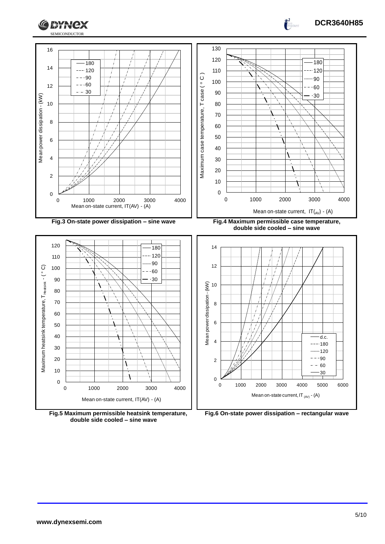



**DCR3640H85**

 $\frac{2}{1}$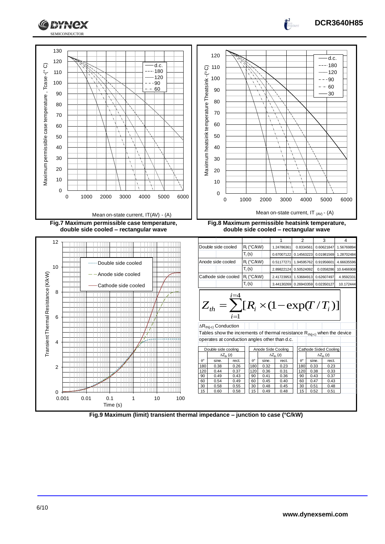





**DCR3640H85**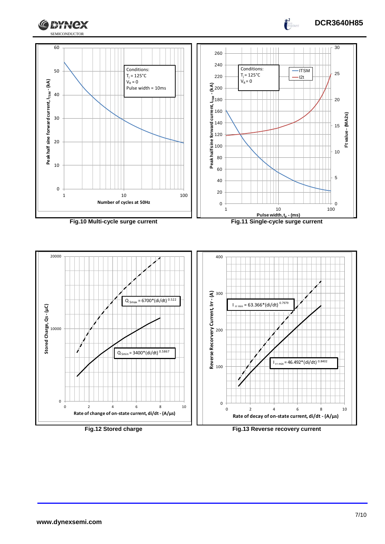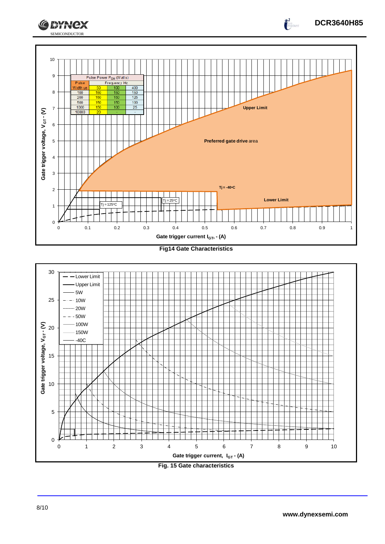



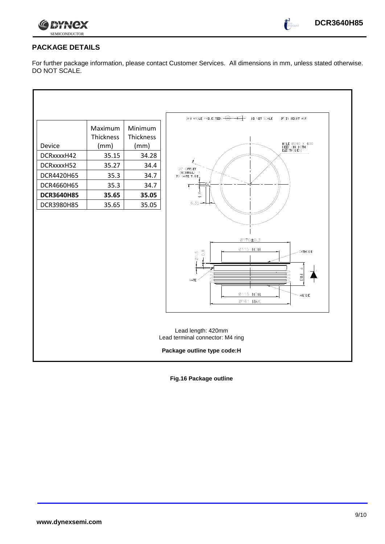

 $\int_0^2$ 

## **PACKAGE DETAILS**

For further package information, please contact Customer Services. All dimensions in mm, unless stated otherwise. DO NOT SCALE.

| Device<br>DCRxxxxH42<br>DCRxxxxH52<br>DCR4420H65                                      | Maximum<br>Thickness<br>(mm)<br>35.15<br>35.27<br>35.3 | Minimum<br>Thickness<br>(mm)<br>34.28<br>34.4<br>34.7 | 3rd ANGLE PRIJECTION $\cdot \bigoplus \cdot \cdot \leftarrow \leftarrow \cdot$<br>DO NOT SCALE<br>IF IN DOUBT ASK<br>HOLE 03.60 X 4.00<br>DEEP (IN BOTH<br>ELECTRODES)<br>20° OFFSET<br>(NOMINAL)<br>TO GATE TUBE |
|---------------------------------------------------------------------------------------|--------------------------------------------------------|-------------------------------------------------------|-------------------------------------------------------------------------------------------------------------------------------------------------------------------------------------------------------------------|
| DCR4660H65<br><b>DCR3640H85</b>                                                       | 35.3<br>35.65                                          | 34.7<br>35.05                                         | $\frac{8}{4}$                                                                                                                                                                                                     |
| DCR3980H85                                                                            | 35.65                                                  | 35.05                                                 | $6.35 -$                                                                                                                                                                                                          |
|                                                                                       |                                                        |                                                       | 0170±0.3<br>0115 NOM.<br>$0.\overline{8}$<br>CATHODE<br>$\emptyset$ 1.5<br>DIM.<br>GATE<br>Ø115 NOM.<br>ANODE<br>Ø161 MAX.                                                                                        |
| Lead length: 420mm<br>Lead terminal connector: M4 ring<br>Package outline type code:H |                                                        |                                                       |                                                                                                                                                                                                                   |

**Fig.16 Package outline**